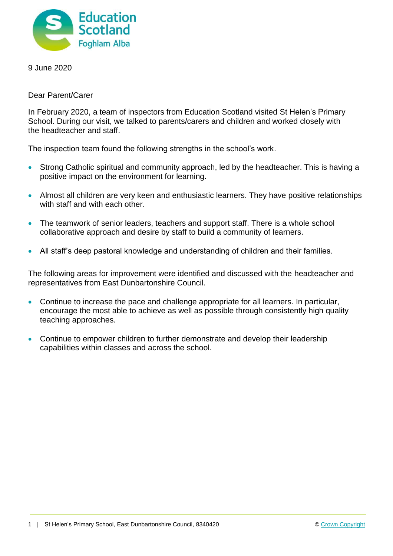

9 June 2020

Dear Parent/Carer

In February 2020, a team of inspectors from Education Scotland visited St Helen's Primary School. During our visit, we talked to parents/carers and children and worked closely with the headteacher and staff.

The inspection team found the following strengths in the school's work.

- Strong Catholic spiritual and community approach, led by the headteacher. This is having a positive impact on the environment for learning.
- Almost all children are very keen and enthusiastic learners. They have positive relationships with staff and with each other.
- The teamwork of senior leaders, teachers and support staff. There is a whole school collaborative approach and desire by staff to build a community of learners.
- All staff's deep pastoral knowledge and understanding of children and their families.

The following areas for improvement were identified and discussed with the headteacher and representatives from East Dunbartonshire Council.

- Continue to increase the pace and challenge appropriate for all learners. In particular, encourage the most able to achieve as well as possible through consistently high quality teaching approaches.
- Continue to empower children to further demonstrate and develop their leadership capabilities within classes and across the school.